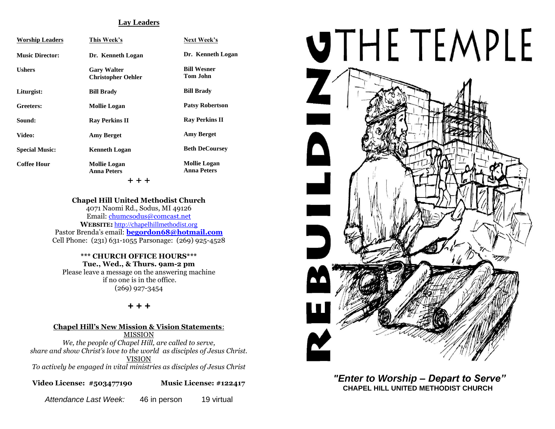### **Lay Leaders**

| <b>Worship Leaders</b> | This Week's                                     | <b>Next Week's</b>                        |  |  |
|------------------------|-------------------------------------------------|-------------------------------------------|--|--|
| <b>Music Director:</b> | Dr. Kenneth Logan                               | Dr. Kenneth Logan                         |  |  |
| <b>Ushers</b>          | <b>Gary Walter</b><br><b>Christopher Oehler</b> | <b>Bill Wesner</b><br><b>Tom John</b>     |  |  |
| Liturgist:             | <b>Bill Brady</b>                               | <b>Bill Brady</b>                         |  |  |
| Greeters:              | <b>Mollie Logan</b>                             | <b>Patsy Robertson</b>                    |  |  |
| Sound:                 | <b>Ray Perkins II</b>                           | <b>Ray Perkins II</b>                     |  |  |
| Video:                 | <b>Amy Berget</b>                               | <b>Amy Berget</b>                         |  |  |
| <b>Special Music:</b>  | <b>Kenneth Logan</b>                            | <b>Beth DeCoursey</b>                     |  |  |
| <b>Coffee Hour</b>     | <b>Mollie Logan</b><br><b>Anna Peters</b>       | <b>Mollie Logan</b><br><b>Anna Peters</b> |  |  |
| + + +                  |                                                 |                                           |  |  |

#### **Chapel Hill United Methodist Church**

4071 Naomi Rd., Sodus, MI 49126 Email: [chumcsodus@comcast.net](mailto:chumcsodus@comcast.net) **WEBSITE:** [http://chapelhillmethodist.org](http://chapelhillmethodist.org/) Pastor Brenda's email: **[begordon68@hotmail.com](mailto:begordon68@hotmail.com)** Cell Phone: (231) 631-1055 Parsonage: (269) 925-4528

**\*\*\* CHURCH OFFICE HOURS\*\*\* Tue., Wed., & Thurs. 9am-2 pm** Please leave a message on the answering machine if no one is in the office. (269) 927-3454

#### *+ + +*

**Chapel Hill's New Mission & Vision Statements**: MISSION *We, the people of Chapel Hill, are called to serve, share and show Christ's love to the world as disciples of Jesus Christ.* VISION *To actively be engaged in vital ministries as disciples of Jesus Christ*

**Video License: #503477190 Music License: #122417**

*Attendance Last Week:* 46 in person 19 virtual



*"Enter to Worship – Depart to Serve"* **CHAPEL HILL UNITED METHODIST CHURCH**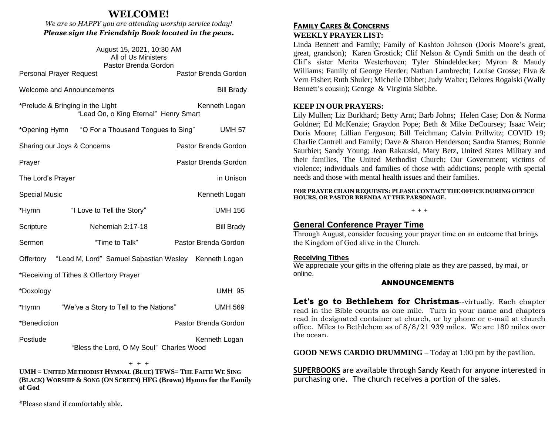# **WELCOME!**

*We are so HAPPY you are attending worship service today! Please sign the Friendship Book located in the pews.*

| August 15, 2021, 10:30 AM<br>All of Us Ministers<br>Pastor Brenda Gordon                   |                                                                |  |                      |  |
|--------------------------------------------------------------------------------------------|----------------------------------------------------------------|--|----------------------|--|
| <b>Personal Prayer Request</b>                                                             |                                                                |  | Pastor Brenda Gordon |  |
| <b>Welcome and Announcements</b>                                                           |                                                                |  | <b>Bill Brady</b>    |  |
| *Prelude & Bringing in the Light<br>Kenneth Logan<br>"Lead On, o King Eternal" Henry Smart |                                                                |  |                      |  |
|                                                                                            | *Opening Hymn "O For a Thousand Tongues to Sing"               |  | <b>UMH 57</b>        |  |
| Sharing our Joys & Concerns                                                                |                                                                |  | Pastor Brenda Gordon |  |
| Prayer                                                                                     |                                                                |  | Pastor Brenda Gordon |  |
| The Lord's Prayer                                                                          |                                                                |  | in Unison            |  |
| <b>Special Music</b>                                                                       |                                                                |  | Kenneth Logan        |  |
| *Hymn                                                                                      | "I Love to Tell the Story"                                     |  | <b>UMH 156</b>       |  |
| Scripture                                                                                  | Nehemiah 2:17-18                                               |  | <b>Bill Brady</b>    |  |
| Sermon                                                                                     | "Time to Talk"                                                 |  | Pastor Brenda Gordon |  |
|                                                                                            | Offertory "Lead M, Lord" Samuel Sabastian Wesley Kenneth Logan |  |                      |  |
| *Receiving of Tithes & Offertory Prayer                                                    |                                                                |  |                      |  |
| *Doxology                                                                                  |                                                                |  | <b>UMH 95</b>        |  |
| *Hymn                                                                                      | "We've a Story to Tell to the Nations"                         |  | <b>UMH 569</b>       |  |
| *Benediction                                                                               |                                                                |  | Pastor Brenda Gordon |  |
| Postlude                                                                                   | "Bless the Lord, O My Soul" Charles Wood                       |  | Kenneth Logan        |  |

+ + + **UMH = UNITED METHODIST HYMNAL (BLUE) TFWS= THE FAITH WE SING (BLACK) WORSHIP & SONG (ON SCREEN) HFG (Brown) Hymns for the Family of God**

\*Please stand if comfortably able.

# **FAMILY CARES & CONCERNS WEEKLY PRAYER LIST:**

Linda Bennett and Family; Family of Kashton Johnson (Doris Moore's great, great, grandson); Karen Grostick; Clif Nelson & Cyndi Smith on the death of Clif's sister Merita Westerhoven; Tyler Shindeldecker; Myron & Maudy Williams; Family of George Herder; Nathan Lambrecht; Louise Grosse; Elva & Vern Fisher; Ruth Shuler; Michelle Dibbet; Judy Walter; Delores Rogalski (Wally Bennett's cousin); George & Virginia Skibbe.

### **KEEP IN OUR PRAYERS:**

Lily Mullen; Liz Burkhard; Betty Arnt; Barb Johns; Helen Case; Don & Norma Goldner; Ed McKenzie; Graydon Pope; Beth & Mike DeCoursey; Isaac Weir; Doris Moore; Lillian Ferguson; Bill Teichman; Calvin Prillwitz; COVID 19; Charlie Cantrell and Family; Dave & Sharon Henderson; Sandra Starnes; Bonnie Saurbier; Sandy Young; Jean Rakauski, Mary Betz, United States Military and their families, The United Methodist Church; Our Government; victims of violence; individuals and families of those with addictions; people with special needs and those with mental health issues and their families.

**FOR PRAYER CHAIN REQUESTS: PLEASE CONTACT THE OFFICE DURING OFFICE HOURS, OR PASTOR BRENDA AT THE PARSONAGE.**

# **+ + +**

# **General Conference Prayer Time**

Through August, consider focusing your prayer time on an outcome that brings the Kingdom of God alive in the Church.

#### **Receiving Tithes**

We appreciate your gifts in the offering plate as they are passed, by mail, or online.

#### ANNOUNCEMENTS

**Let's go to Bethlehem for Christmas**--virtually. Each chapter read in the Bible counts as one mile. Turn in your name and chapters read in designated container at church, or by phone or e-mail at church office. Miles to Bethlehem as of 8/8/21 939 miles. We are 180 miles over the ocean.

**GOOD NEWS CARDIO DRUMMING** – Today at 1:00 pm by the pavilion.

**SUPERBOOKS** are available through Sandy Keath for anyone interested in purchasing one. The church receives a portion of the sales.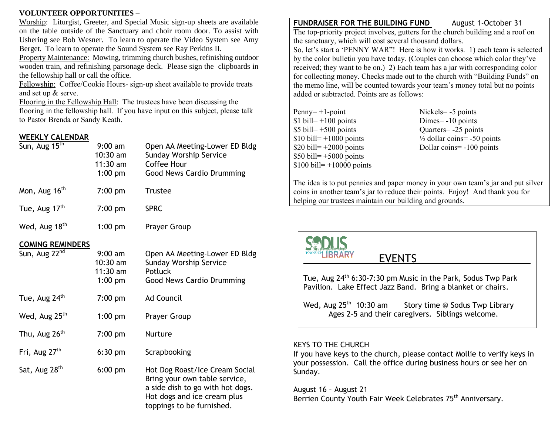# **VOLUNTEER OPPORTUNITIES** –

Worship: Liturgist, Greeter, and Special Music sign-up sheets are available on the table outside of the Sanctuary and choir room door. To assist with Ushering see Bob Wesner. To learn to operate the Video System see Amy Berget. To learn to operate the Sound System see Ray Perkins II.

Property Maintenance: Mowing, trimming church bushes, refinishing outdoor wooden train, and refinishing parsonage deck. Please sign the clipboards in the fellowship hall or call the office.

Fellowship: Coffee/Cookie Hours- sign-up sheet available to provide treats and set up & serve.

Flooring in the Fellowship Hall: The trustees have been discussing the flooring in the fellowship hall. If you have input on this subject, please talk to Pastor Brenda or Sandy Keath.

# **WEEKLY CALENDAR**

| Sun, Aug 15 <sup>th</sup>                            | $9:00$ am<br>$10:30$ am<br>$11:30$ am<br>$1:00$ pm | Open AA Meeting-Lower ED Bldg<br><b>Sunday Worship Service</b><br>Coffee Hour<br>Good News Cardio Drumming                         |
|------------------------------------------------------|----------------------------------------------------|------------------------------------------------------------------------------------------------------------------------------------|
| Mon, Aug 16 <sup>th</sup>                            | $7:00$ pm                                          | Trustee                                                                                                                            |
| Tue, Aug 17 <sup>th</sup>                            | $7:00$ pm                                          | <b>SPRC</b>                                                                                                                        |
| Wed, Aug 18 <sup>th</sup>                            | $1:00$ pm                                          | Prayer Group                                                                                                                       |
| <b>COMING REMINDERS</b><br>Sun, Aug 22 <sup>nd</sup> | $9:00$ am<br>$10:30$ am<br>$11:30$ am<br>$1:00$ pm | Open AA Meeting-Lower ED Bldg<br><b>Sunday Worship Service</b><br><b>Potluck</b><br>Good News Cardio Drumming                      |
| Tue, Aug 24 <sup>th</sup>                            | $7:00$ pm                                          | <b>Ad Council</b>                                                                                                                  |
| Wed, Aug 25 <sup>th</sup>                            | $1:00$ pm                                          | Prayer Group                                                                                                                       |
| Thu, Aug 26 <sup>th</sup>                            | $7:00$ pm                                          | Nurture                                                                                                                            |
| Fri, Aug 27 <sup>th</sup>                            | $6:30$ pm                                          | Scrapbooking                                                                                                                       |
| Sat, Aug 28 <sup>th</sup>                            | $6:00$ pm                                          | Hot Dog Roast/Ice Cream Social<br>Bring your own table service,<br>a side dish to go with hot dogs.<br>Hot dogs and ice cream plus |

toppings to be furnished.

# **FUNDRAISER FOR THE BUILDING FUND** August 1-October 31

The top-priority project involves, gutters for the church building and a roof on the sanctuary, which will cost several thousand dollars.

So, let's start a 'PENNY WAR"! Here is how it works. 1) each team is selected by the color bulletin you have today. (Couples can choose which color they've received; they want to be on.) 2) Each team has a jar with corresponding color for collecting money. Checks made out to the church with "Building Funds" on the memo line, will be counted towards your team's money total but no points added or subtracted. Points are as follows:

Nickels= -5 points  $Dimes = -10$  points Ouarters= -25 points  $\frac{1}{2}$  dollar coins= -50 points  $Dollar coins = -100 points$ 

The idea is to put pennies and paper money in your own team's jar and put silver coins in another team's jar to reduce their points. Enjoy! And thank you for helping our trustees maintain our building and grounds.

# **IRRARY** EVENTS

Tue, Aug  $24<sup>th</sup>$  6:30-7:30 pm Music in the Park, Sodus Twp Park Pavilion. Lake Effect Jazz Band. Bring a blanket or chairs.

Wed, Aug  $25<sup>th</sup>$  10:30 am Story time @ Sodus Twp Library Ages 2-5 and their caregivers. Siblings welcome.

### KEYS TO THE CHURCH

If you have keys to the church, please contact Mollie to verify keys in your possession. Call the office during business hours or see her on Sunday.

August 16 – August 21 Berrien County Youth Fair Week Celebrates 75<sup>th</sup> Anniversary.